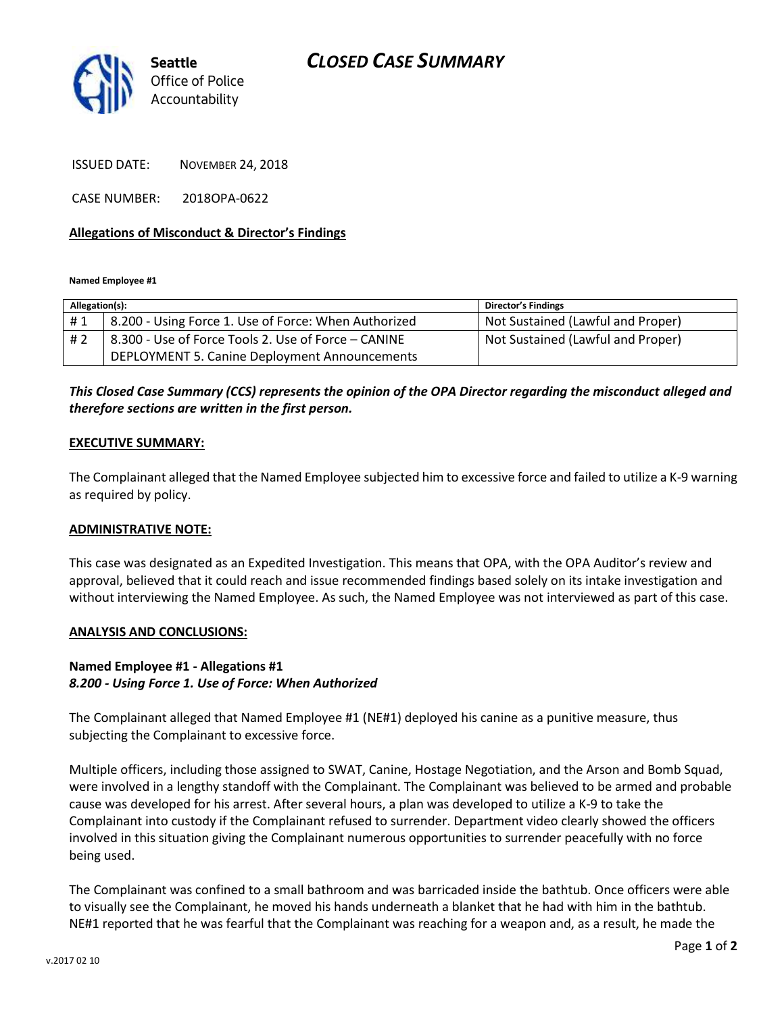# *CLOSED CASE SUMMARY*



ISSUED DATE: NOVEMBER 24, 2018

CASE NUMBER: 2018OPA-0622

### **Allegations of Misconduct & Director's Findings**

**Named Employee #1**

| Allegation(s): |                                                      | Director's Findings               |
|----------------|------------------------------------------------------|-----------------------------------|
| #1             | 8.200 - Using Force 1. Use of Force: When Authorized | Not Sustained (Lawful and Proper) |
| #2             | 8.300 - Use of Force Tools 2. Use of Force - CANINE  | Not Sustained (Lawful and Proper) |
|                | DEPLOYMENT 5. Canine Deployment Announcements        |                                   |

## *This Closed Case Summary (CCS) represents the opinion of the OPA Director regarding the misconduct alleged and therefore sections are written in the first person.*

#### **EXECUTIVE SUMMARY:**

The Complainant alleged that the Named Employee subjected him to excessive force and failed to utilize a K-9 warning as required by policy.

### **ADMINISTRATIVE NOTE:**

This case was designated as an Expedited Investigation. This means that OPA, with the OPA Auditor's review and approval, believed that it could reach and issue recommended findings based solely on its intake investigation and without interviewing the Named Employee. As such, the Named Employee was not interviewed as part of this case.

#### **ANALYSIS AND CONCLUSIONS:**

## **Named Employee #1 - Allegations #1** *8.200 - Using Force 1. Use of Force: When Authorized*

The Complainant alleged that Named Employee #1 (NE#1) deployed his canine as a punitive measure, thus subjecting the Complainant to excessive force.

Multiple officers, including those assigned to SWAT, Canine, Hostage Negotiation, and the Arson and Bomb Squad, were involved in a lengthy standoff with the Complainant. The Complainant was believed to be armed and probable cause was developed for his arrest. After several hours, a plan was developed to utilize a K-9 to take the Complainant into custody if the Complainant refused to surrender. Department video clearly showed the officers involved in this situation giving the Complainant numerous opportunities to surrender peacefully with no force being used.

The Complainant was confined to a small bathroom and was barricaded inside the bathtub. Once officers were able to visually see the Complainant, he moved his hands underneath a blanket that he had with him in the bathtub. NE#1 reported that he was fearful that the Complainant was reaching for a weapon and, as a result, he made the